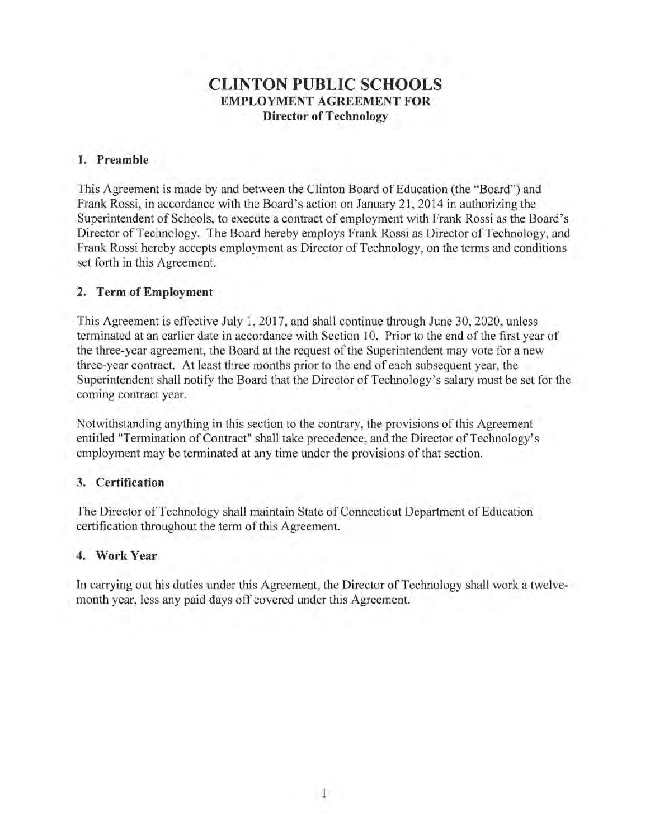# **CLINTON PUBLIC SCHOOLS EMPLOYMENT AGREEMENT FOR Director of Technology**

### **1. Preamble**

This Agreement is made by and between the Clinton Board of Education (the "Board") and Frank Rossi, in accordance with the Board's action on January 21, 2014 in authorizing the Superintendent of Schools, to execute a contract of employment with Frank Rossi as the Board's Director of Technology. The Board hereby employs Frank Rossi as Director of Technology, and Frank Rossi hereby accepts employment as Director of Technology, on the terms and conditions set forth in this Agreement.

### **2. Term of Employment**

This Agreement is effective July 1, 2017, and shall continue through June 30, 2020, unless terminated at an earlier date in accordance with Section 10. Prior to the end of the first year of the three-year agreement, the Board at the request of the Superintendent may vote for a new three-year contract. At least three months prior to the end of each subsequent year, the Superintendent shall notify the Board that the Director of Technology's salary must be set for the coming contract year.

Notwithstanding anything in this section to the contrary, the provisions of this Agreement entitled "Termination of Contract" shall take precedence, and the Director of Technology's employment may be terminated at any time under the provisions of that section.

# **3. Certification**

The Director of Technology shall maintain State of Connecticut Department of Education certification throughout the term of this Agreement.

# **4. Work Year**

In carrying out his duties under this Agreement, the Director of Technology shall work a twelvemonth year, less any paid days off covered under this Agreement.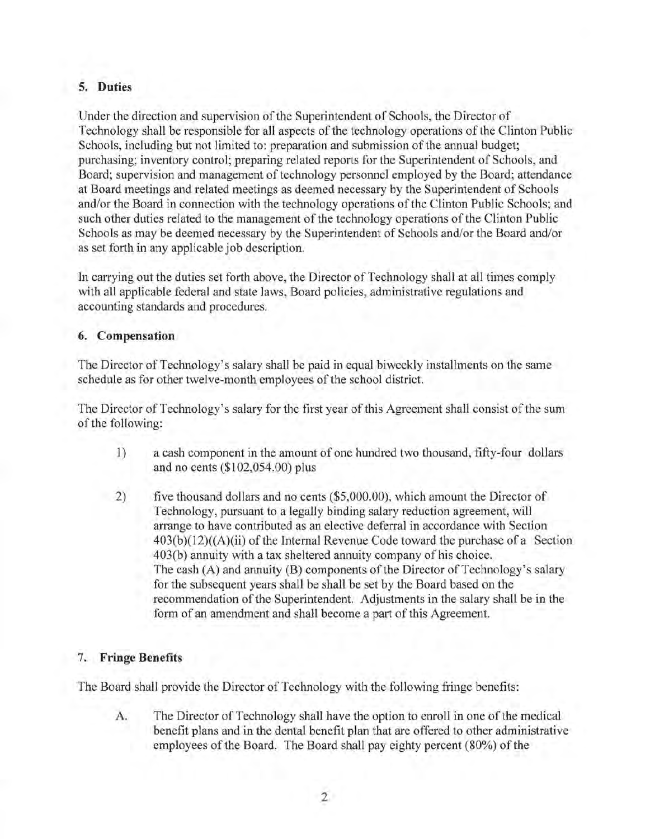# **5. Duties**

Under the direction and supervision of the Superintendent of Schools, the Director of Technology shall be responsible for all aspects of the technology operations of the Clinton Public Schools, including but not limited to: preparation and submission of the annual budget; purchasing; inventory control; preparing related reports for the Superintendent of Schools, and Board; supervision and management of technology personnel employed by the Board; attendance at Board meetings and related meetings as deemed necessary by the Superintendent of Schools and/or the Board in connection with the technology operations of the Clinton Public Schools; and such other duties related to the management of the technology operations of the Clinton Public Schools as may be deemed necessary by the Superintendent of Schools and/or the Board and/or as set forth in any applicable job description.

In carrying out the duties set forth above, the Director of Technology shall at all times comply with all applicable federal and state laws, Board policies, administrative regulations and accounting standards and procedures.

### **6. Compensation**

The Director of Technology's salary shall be paid in equal biweekly installments on the same schedule as for other twelve-month employees of the school district.

The Director of Technology's salary for the first year of this Agreement shall consist of the sum of the following:

- 1) a cash component in the amount of one hundred two thousand, fifty-four dollars and no cents (\$102,054.00) plus
- 2) five thousand dollars and no cents (\$5,000.00), which amount the Director of Technology, pursuant to a legally binding salary reduction agreement, will arrange to have contributed as an elective deferral in accordance with Section  $403(b)(12)((A)(ii)$  of the Internal Revenue Code toward the purchase of a Section 403(b) annuity with a tax sheltered annuity company of his choice. The cash  $(A)$  and annuity  $(B)$  components of the Director of Technology's salary for the subsequent years shall be shall be set by the Board based on the recommendation of the Superintendent. Adjustments in the salary shall be in the form of an amendment and shall become a part of this Agreement.

# 7. **Fringe Benefits**

The Board shall provide the Director of Technology with the following fringe benefits:

A. The Director of Technology shall have the option to enroll in one of the medical benefit plans and in the dental benefit plan that are offered to other administrative employees of the Board. The Board shall pay eighty percent (80%) of the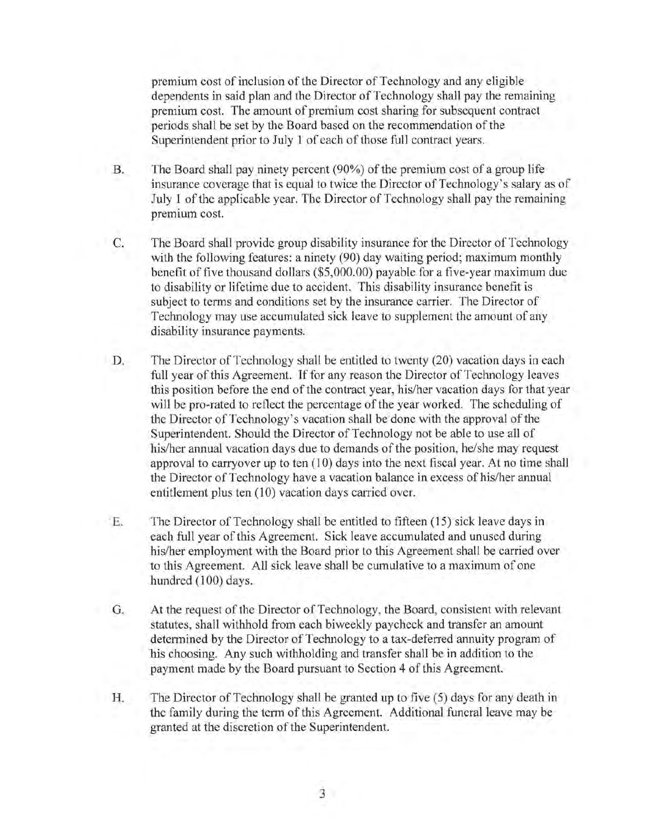premium cost of inclusion of the Director of Technology and any eligible dependents in said plan and the Director of Technology shall pay the remaining premium cost. The amount of premium cost sharing for subsequent contract periods shall be set by the Board based on the recommendation of the Superintendent prior to July 1 of each of those full contract years.

- B. The Board shall pay ninety percent (90%) of the premium cost of a group life insurance coverage that is equal to twice the Director of Technology's salary as of July 1 of the applicable year. The Director of Technology shall pay the remaining premium cost.
	- C. The Board shall provide group disability insurance for the Director of Technology with the following features: a ninety (90) day waiting period; maximum monthly benefit of five thousand dollars (\$5,000.00) payable for a five-year maximum due to disability or lifetime due to accident. This disability insurance benefit is subject to terms and conditions set by the insurance carrier. The Director of Technology may use accumulated sick leave to supplement the amount of any disability insurance payments.
	- D. The Director of Technology shall be entitled to twenty (20) vacation days in each full year of this Agreement. If for any reason the Director of Technology leaves this position before the end of the contract year, his/her vacation days for that year will be pro-rated to reflect the percentage of the year worked. The scheduling of the Director of Technology's vacation shall be done with the approval of the Superintendent. Should the Director of Technology not be able to use all of his/her annual vacation days due to demands of the position, he/she may request approval to carryover up to ten  $(10)$  days into the next fiscal year. At no time shall the Director of Technology have a vacation balance in excess of his/her annual entitlement plus ten (10) vacation days carried over.
	- E. The Director of Technology shall be entitled to fifteen (15) sick leave days in each full year of this Agreement. Sick leave accumulated and unused during his/her employment with the Board prior to this Agreement shall be carried over to this Agreement. All sick leave shall be cumulative to a maximum of one hundred (100) days.
	- G. At the request of the Director of Technology, the Board, consistent with relevant statutes, shall withhold from each biweekly paycheck and transfer an amount determined by the Director of Technology to a tax-deferred annuity program of his choosing. Any such withholding and transfer shall be in addition to the payment made by the Board pursuant to Section 4 of this Agreement.
	- H. The Director of Technology shall be granted up to five (5) days for any death in the family during the term of this Agreement. Additional funeral leave may be granted at the discretion of the Superintendent.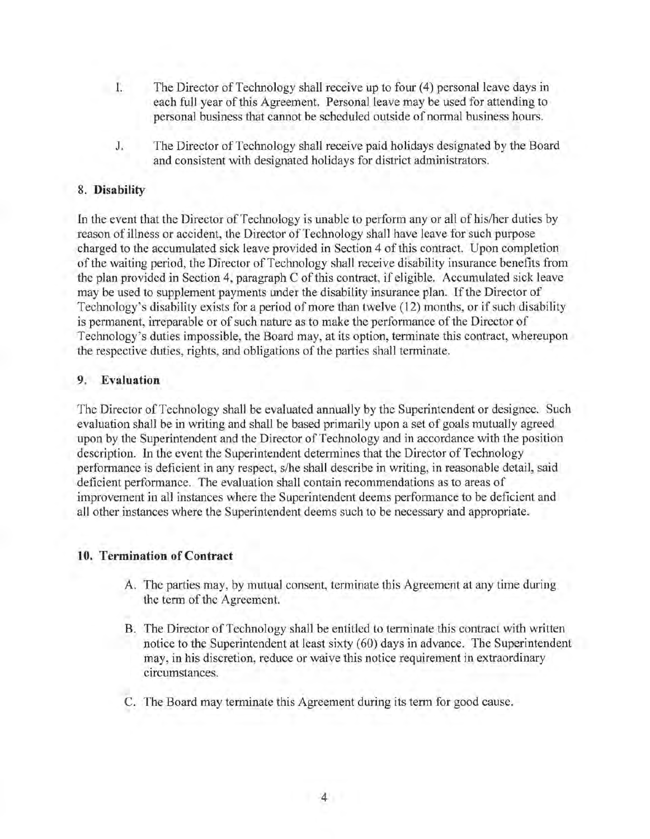- I. The Director of Technology shall receive up to four (4) personal leave days in each full year of this Agreement. Personal leave may be used for attending to personal business that cannot be scheduled outside of normal business hours.
	- J. The Director of Technology shall receive paid holidays designated by the Board and consistent with designated holidays for district administrators.

### 8. **Disability**

In the event that the Director of Technology is unable to perform any or all of his/her duties by reason of illness or accident, the Director of Technology shall have leave for such purpose charged to the accumulated sick leave provided in Section 4 of this contract. Upon completion of the waiting period, the Director of Technology shall receive disability insurance benefits from the plan provided in Section 4, paragraph C of this contract, if eligible. Accumulated sick leave may be used to supplement payments under the disability insurance plan. If the Director of Technology's disability exists for a period of more than twelve (12) months, or if such disability is permanent, irreparable or of such nature as to make the performance of the Director of Technology's duties impossible, the Board may, at its option, terminate this contract, whereupon the respective duties, rights, and obligations of the parties shall terminate.

#### **9. Evaluation**

The Director of Technology shall be evaluated annually by the Superintendent or designee. Such evaluation shall be in writing and shall be based primarily upon a set of goals mutually agreed upon by the Superintendent and the Director of Technology and in accordance with the position description. In the event the Superintendent determines that the Director of Technology performance is deficient in any respect, s/he shall describe in writing, in reasonable detail, said deficient performance. The evaluation shall contain recommendations as to areas of improvement in all instances where the Superintendent deems performance to be deficient and all other instances where the Superintendent deems such to be necessary and appropriate.

#### **10. Termination of Contract**

- A. The parties may, by mutual consent, terminate this Agreement at any time during the term of the Agreement.
- B. The Director of Technology shall be entitled to terminate this contract with written notice to the Superintendent at least sixty (60) days in advance. The Superintendent may, in his discretion, reduce or waive this notice requirement in extraordinary circumstances.
- C. The Board may terminate this Agreement during its term for good cause.